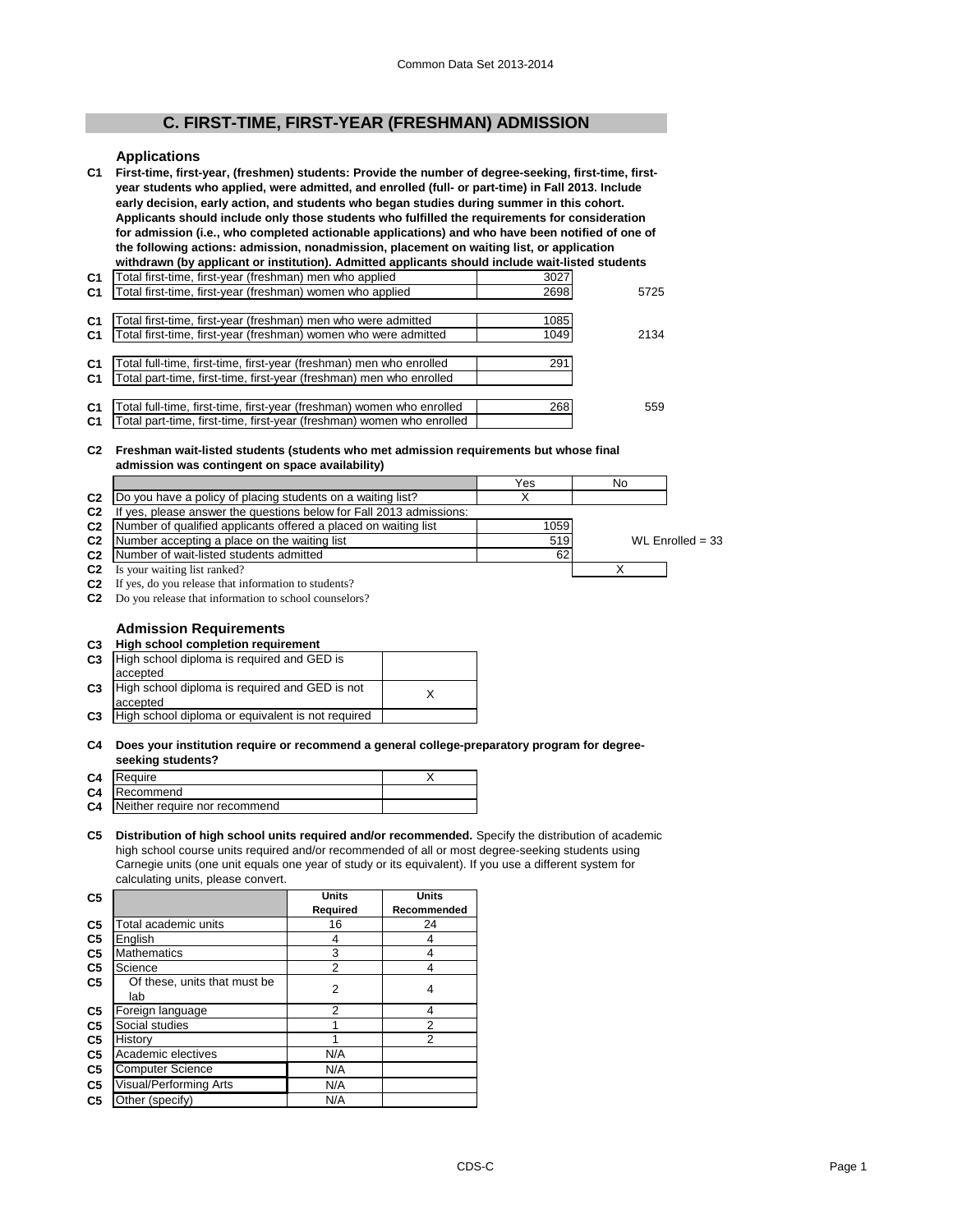# **C. FIRST-TIME, FIRST-YEAR (FRESHMAN) ADMISSION**

# **Applications**

| C <sub>1</sub> | First-time, first-year, (freshmen) students: Provide the number of degree-seeking, first-time, first-<br>year students who applied, were admitted, and enrolled (full- or part-time) in Fall 2013. Include<br>early decision, early action, and students who began studies during summer in this cohort.<br>Applicants should include only those students who fulfilled the requirements for consideration<br>for admission (i.e., who completed actionable applications) and who have been notified of one of<br>the following actions: admission, nonadmission, placement on waiting list, or application<br>withdrawn (by applicant or institution). Admitted applicants should include wait-listed students |      |      |
|----------------|-----------------------------------------------------------------------------------------------------------------------------------------------------------------------------------------------------------------------------------------------------------------------------------------------------------------------------------------------------------------------------------------------------------------------------------------------------------------------------------------------------------------------------------------------------------------------------------------------------------------------------------------------------------------------------------------------------------------|------|------|
| C <sub>1</sub> | Total first-time, first-year (freshman) men who applied                                                                                                                                                                                                                                                                                                                                                                                                                                                                                                                                                                                                                                                         | 3027 |      |
| C <sub>1</sub> | Total first-time, first-year (freshman) women who applied                                                                                                                                                                                                                                                                                                                                                                                                                                                                                                                                                                                                                                                       | 2698 | 5725 |
|                |                                                                                                                                                                                                                                                                                                                                                                                                                                                                                                                                                                                                                                                                                                                 |      |      |
| C <sub>1</sub> | Total first-time, first-year (freshman) men who were admitted                                                                                                                                                                                                                                                                                                                                                                                                                                                                                                                                                                                                                                                   | 1085 |      |
| C <sub>1</sub> | Total first-time, first-year (freshman) women who were admitted                                                                                                                                                                                                                                                                                                                                                                                                                                                                                                                                                                                                                                                 | 1049 | 2134 |
|                |                                                                                                                                                                                                                                                                                                                                                                                                                                                                                                                                                                                                                                                                                                                 |      |      |
| C <sub>1</sub> | Total full-time, first-time, first-year (freshman) men who enrolled                                                                                                                                                                                                                                                                                                                                                                                                                                                                                                                                                                                                                                             | 291  |      |
| C1             | Total part-time, first-time, first-year (freshman) men who enrolled                                                                                                                                                                                                                                                                                                                                                                                                                                                                                                                                                                                                                                             |      |      |
|                |                                                                                                                                                                                                                                                                                                                                                                                                                                                                                                                                                                                                                                                                                                                 |      |      |
| C <sub>1</sub> | Total full-time, first-time, first-year (freshman) women who enrolled                                                                                                                                                                                                                                                                                                                                                                                                                                                                                                                                                                                                                                           | 268  | 559  |
| C1             | Total part-time, first-time, first-year (freshman) women who enrolled                                                                                                                                                                                                                                                                                                                                                                                                                                                                                                                                                                                                                                           |      |      |

## **C2 Freshman wait-listed students (students who met admission requirements but whose final admission was contingent on space availability)**

|                |                                                                                | Yes  | No |                    |
|----------------|--------------------------------------------------------------------------------|------|----|--------------------|
|                | C <sub>2</sub> Do you have a policy of placing students on a waiting list?     |      |    |                    |
| C <sub>2</sub> | If yes, please answer the questions below for Fall 2013 admissions:            |      |    |                    |
|                | C <sub>2</sub> Number of qualified applicants offered a placed on waiting list | 1059 |    |                    |
|                | <b>C2</b> Number accepting a place on the waiting list                         | 519  |    | WL Enrolled = $33$ |
|                | <b>C2</b> Number of wait-listed students admitted                              | 62   |    |                    |

**C2** Is your waiting list ranked? X

**C2** If yes, do you release that information to students?

**C2** Do you release that information to school counselors?

## **Admission Requirements**

## **C3 High school completion requirement**

| C <sub>3</sub> | High school diploma is required and GED is        |  |
|----------------|---------------------------------------------------|--|
|                | accepted                                          |  |
| C <sub>3</sub> | High school diploma is required and GED is not    |  |
|                | accepted                                          |  |
| C <sub>3</sub> | High school diploma or equivalent is not required |  |

#### **C4 Does your institution require or recommend a general college-preparatory program for degreeseeking students?**

| C4 | Require                          |  |
|----|----------------------------------|--|
|    | C4 Recommend                     |  |
|    | C4 Neither require nor recommend |  |
|    |                                  |  |

## **C5 Distribution of high school units required and/or recommended.** Specify the distribution of academic high school course units required and/or recommended of all or most degree-seeking students using Carnegie units (one unit equals one year of study or its equivalent). If you use a different system for calculating units, please convert.

| C <sub>5</sub> |                                     | <b>Units</b>   | <b>Units</b>   |
|----------------|-------------------------------------|----------------|----------------|
|                |                                     | Required       | Recommended    |
| C <sub>5</sub> | Total academic units                | 16             | 24             |
| C <sub>5</sub> | English                             | 4              | 4              |
| C <sub>5</sub> | <b>Mathematics</b>                  | 3              | 4              |
| C <sub>5</sub> | Science                             | $\overline{2}$ | 4              |
| C <sub>5</sub> | Of these, units that must be<br>lab | $\overline{2}$ | 4              |
| C <sub>5</sub> | Foreign language                    | 2              | 4              |
| C <sub>5</sub> | Social studies                      |                | 2              |
| C <sub>5</sub> | History                             |                | $\overline{2}$ |
| C <sub>5</sub> | Academic electives                  | N/A            |                |
| C <sub>5</sub> | <b>Computer Science</b>             | N/A            |                |
| C <sub>5</sub> | Visual/Performing Arts              | N/A            |                |
| C <sub>5</sub> | Other (specify)                     | N/A            |                |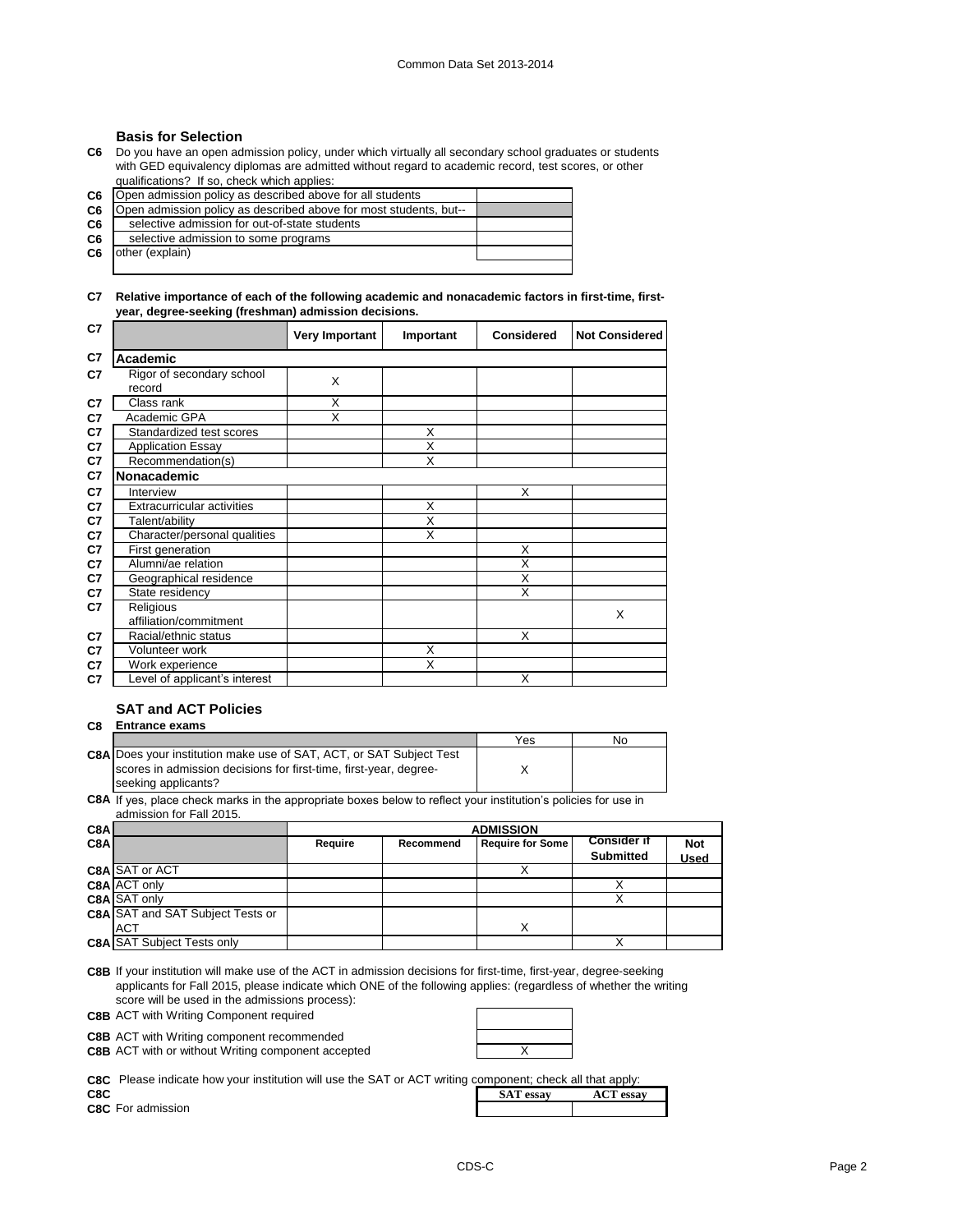## **Basis for Selection**

**C6** Do you have an open admission policy, under which virtually all secondary school graduates or students with GED equivalency diplomas are admitted without regard to academic record, test scores, or other qualifications? If so, check which applies:

**C6 C6 C6 C6 C6** other (explain) selective admission to some programs Open admission policy as described above for all students Open admission policy as described above for most students, but- selective admission for out-of-state students

**C7 Relative importance of each of the following academic and nonacademic factors in first-time, firstyear, degree-seeking (freshman) admission decisions.**

| C7 |                                     | <b>Very Important</b> | Important | <b>Considered</b> | <b>Not Considered</b> |
|----|-------------------------------------|-----------------------|-----------|-------------------|-----------------------|
| C7 | Academic                            |                       |           |                   |                       |
| C7 | Rigor of secondary school<br>record | X                     |           |                   |                       |
| C7 | Class rank                          | X                     |           |                   |                       |
| C7 | Academic GPA                        | X                     |           |                   |                       |
| C7 | Standardized test scores            |                       | X         |                   |                       |
| C7 | <b>Application Essay</b>            |                       | X         |                   |                       |
| C7 | Recommendation(s)                   |                       | X         |                   |                       |
| C7 | <b>Nonacademic</b>                  |                       |           |                   |                       |
| C7 | Interview                           |                       |           | X                 |                       |
| C7 | <b>Extracurricular activities</b>   |                       | X         |                   |                       |
| C7 | Talent/ability                      |                       | X         |                   |                       |
| C7 | Character/personal qualities        |                       | X         |                   |                       |
| C7 | First generation                    |                       |           | X                 |                       |
| C7 | Alumni/ae relation                  |                       |           | Χ                 |                       |
| C7 | Geographical residence              |                       |           | X                 |                       |
| C7 | State residency                     |                       |           | X                 |                       |
| C7 | Religious<br>affiliation/commitment |                       |           |                   | X                     |
| C7 | Racial/ethnic status                |                       |           | X                 |                       |
| C7 | Volunteer work                      |                       | X         |                   |                       |
| C7 | Work experience                     |                       | X         |                   |                       |
| C7 | Level of applicant's interest       |                       |           | X                 |                       |

# **SAT and ACT Policies**

# **C8 Entrance exams**

|                                                                            | Yes | No |
|----------------------------------------------------------------------------|-----|----|
| <b>C8A Does your institution make use of SAT, ACT, or SAT Subject Test</b> |     |    |
| Iscores in admission decisions for first-time, first-vear, degree-         |     |    |
| seeking applicants?                                                        |     |    |

**C8A** If yes, place check marks in the appropriate boxes below to reflect your institution's policies for use in admission for Fall 2015.

| C8A |                                         |         | <b>ADMISSION</b> |                         |                    |             |  |
|-----|-----------------------------------------|---------|------------------|-------------------------|--------------------|-------------|--|
| C8A |                                         | Require | Recommend        | <b>Require for Some</b> | <b>Consider if</b> | <b>Not</b>  |  |
|     |                                         |         |                  |                         | <b>Submitted</b>   | <b>Used</b> |  |
|     | C8A SAT or ACT                          |         |                  |                         |                    |             |  |
|     | <b>C8A ACT only</b>                     |         |                  |                         |                    |             |  |
|     | <b>C8A</b> SAT only                     |         |                  |                         |                    |             |  |
|     | <b>C8A SAT and SAT Subject Tests or</b> |         |                  |                         |                    |             |  |
|     | <b>ACT</b>                              |         |                  |                         |                    |             |  |
|     | <b>C8A SAT Subject Tests only</b>       |         |                  |                         |                    |             |  |

**C8B** If your institution will make use of the ACT in admission decisions for first-time, first-year, degree-seeking applicants for Fall 2015, please indicate which ONE of the following applies: (regardless of whether the writing score will be used in the admissions process):

**C8B** ACT with Writing Component required

**C8B** ACT with Writing component recommended

**C8B** ACT with or without Writing component accepted  $\qquad$  X

**C8C** Please indicate how your institution will use the SAT or ACT writing component; check all that apply:

**C8C** For admission

|     | <b>C8C</b> Please indicate how your institution will use the SAT or ACT writing component; check all that apply: |  |  |                  |                  |
|-----|------------------------------------------------------------------------------------------------------------------|--|--|------------------|------------------|
| C8C |                                                                                                                  |  |  | <b>SAT</b> essay | <b>ACT</b> essay |
|     | C.R.C. For admission                                                                                             |  |  |                  |                  |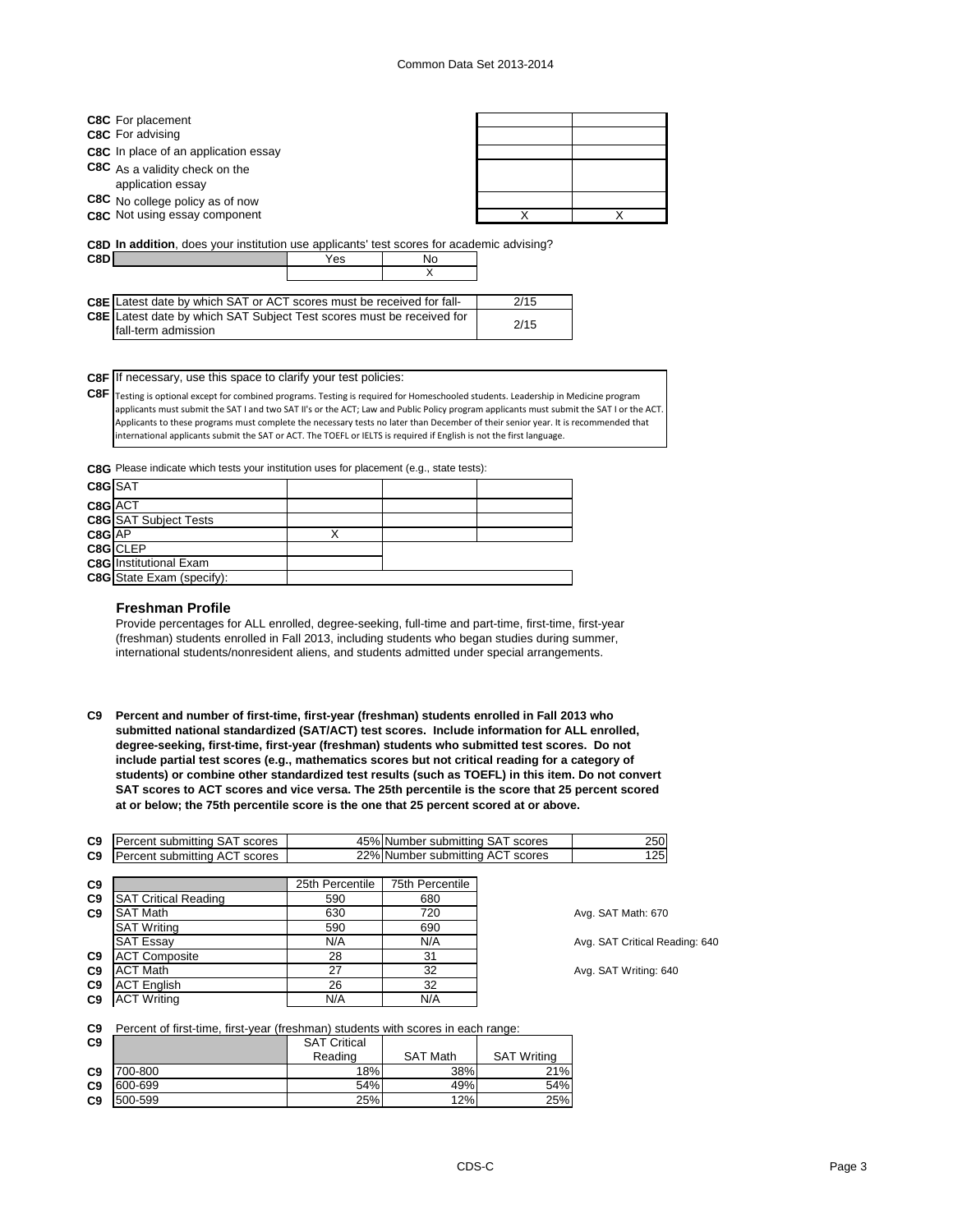| <b>C8C</b> For placement                                                                          |     |    |      |  |
|---------------------------------------------------------------------------------------------------|-----|----|------|--|
| <b>C8C</b> For advising                                                                           |     |    |      |  |
| <b>C8C</b> In place of an application essay                                                       |     |    |      |  |
| C8C As a validity check on the<br>application essay                                               |     |    |      |  |
| C8C No college policy as of now                                                                   |     |    |      |  |
| C <sub>8</sub> C Not using essay component                                                        |     |    | x    |  |
| <b>C8D In addition</b> , does your institution use applicants' test scores for academic advising? |     |    |      |  |
| C8D                                                                                               | Yes | No |      |  |
|                                                                                                   |     | X  |      |  |
|                                                                                                   |     |    |      |  |
| CRE I stoot data by which SAT or ACT scores must be received for fall-                            |     |    | 2/15 |  |

| <b>C8E</b> Latest date by which SAT Subject Test scores must be received for<br>2/15 | <b>C8E</b> Latest date by which SAT or ACT scores must be received for fall- | 2/15 |
|--------------------------------------------------------------------------------------|------------------------------------------------------------------------------|------|
|                                                                                      | fall-term admission                                                          |      |

**C8F** If necessary, use this space to clarify your test policies:

**C8F** Testing is optional except for combined programs. Testing is required for Homeschooled students. Leadership in Medicine program applicants must submit the SAT I and two SAT II's or the ACT; Law and Public Policy program applicants must submit the SAT I or the ACT. Applicants to these programs must complete the necessary tests no later than December of their senior year. It is recommended that international applicants submit the SAT or ACT. The TOEFL or IELTS is required if English is not the first language.

**C8G** Please indicate which tests your institution uses for placement (e.g., state tests):

| C8G SAT |                                  |  |  |
|---------|----------------------------------|--|--|
| C8G ACT |                                  |  |  |
|         | <b>C8G</b> SAT Subject Tests     |  |  |
| C8G AP  |                                  |  |  |
|         | C8G CLEP                         |  |  |
|         | <b>C8G</b> Institutional Exam    |  |  |
|         | <b>C8G</b> State Exam (specify): |  |  |
|         |                                  |  |  |

## **Freshman Profile**

Provide percentages for ALL enrolled, degree-seeking, full-time and part-time, first-time, first-year (freshman) students enrolled in Fall 2013, including students who began studies during summer, international students/nonresident aliens, and students admitted under special arrangements.

**C9 Percent and number of first-time, first-year (freshman) students enrolled in Fall 2013 who submitted national standardized (SAT/ACT) test scores. Include information for ALL enrolled, degree-seeking, first-time, first-year (freshman) students who submitted test scores. Do not include partial test scores (e.g., mathematics scores but not critical reading for a category of students) or combine other standardized test results (such as TOEFL) in this item. Do not convert SAT scores to ACT scores and vice versa. The 25th percentile is the score that 25 percent scored at or below; the 75th percentile score is the one that 25 percent scored at or above.**

| Percent submitting SAT scores |                 |                 | 250                                                                  |
|-------------------------------|-----------------|-----------------|----------------------------------------------------------------------|
| Percent submitting ACT scores |                 |                 | 125                                                                  |
|                               |                 |                 |                                                                      |
|                               | 25th Percentile | 75th Percentile |                                                                      |
| <b>SAT Critical Reading</b>   | 590             | 680             |                                                                      |
| <b>SAT Math</b>               | 630             | 720             | Avg. SAT Math: 670                                                   |
| <b>SAT Writing</b>            | 590             | 690             |                                                                      |
| <b>SAT Essay</b>              | N/A             | N/A             | Avg. SAT Critical Reading: 640                                       |
| <b>ACT Composite</b>          | 28              | 31              |                                                                      |
| <b>ACT Math</b>               | 27              | 32              | Avg. SAT Writing: 640                                                |
| <b>ACT English</b>            | 26              | 32              |                                                                      |
| <b>ACT Writing</b>            | N/A             | N/A             |                                                                      |
|                               |                 |                 | 45% Number submitting SAT scores<br>22% Number submitting ACT scores |

#### **C9** Percent of first-time, first-year (freshman) students with scores in each range:

| C9             |         | <b>SAT Critical</b> |                 |                    |
|----------------|---------|---------------------|-----------------|--------------------|
|                |         | Reading             | <b>SAT Math</b> | <b>SAT Writing</b> |
| C9             | 700-800 | 18%                 | 38%             | 21%                |
| C <sub>9</sub> | 600-699 | 54%                 | 49%             | 54%                |
| C9             | 500-599 | 25%                 | 12%             | 25%                |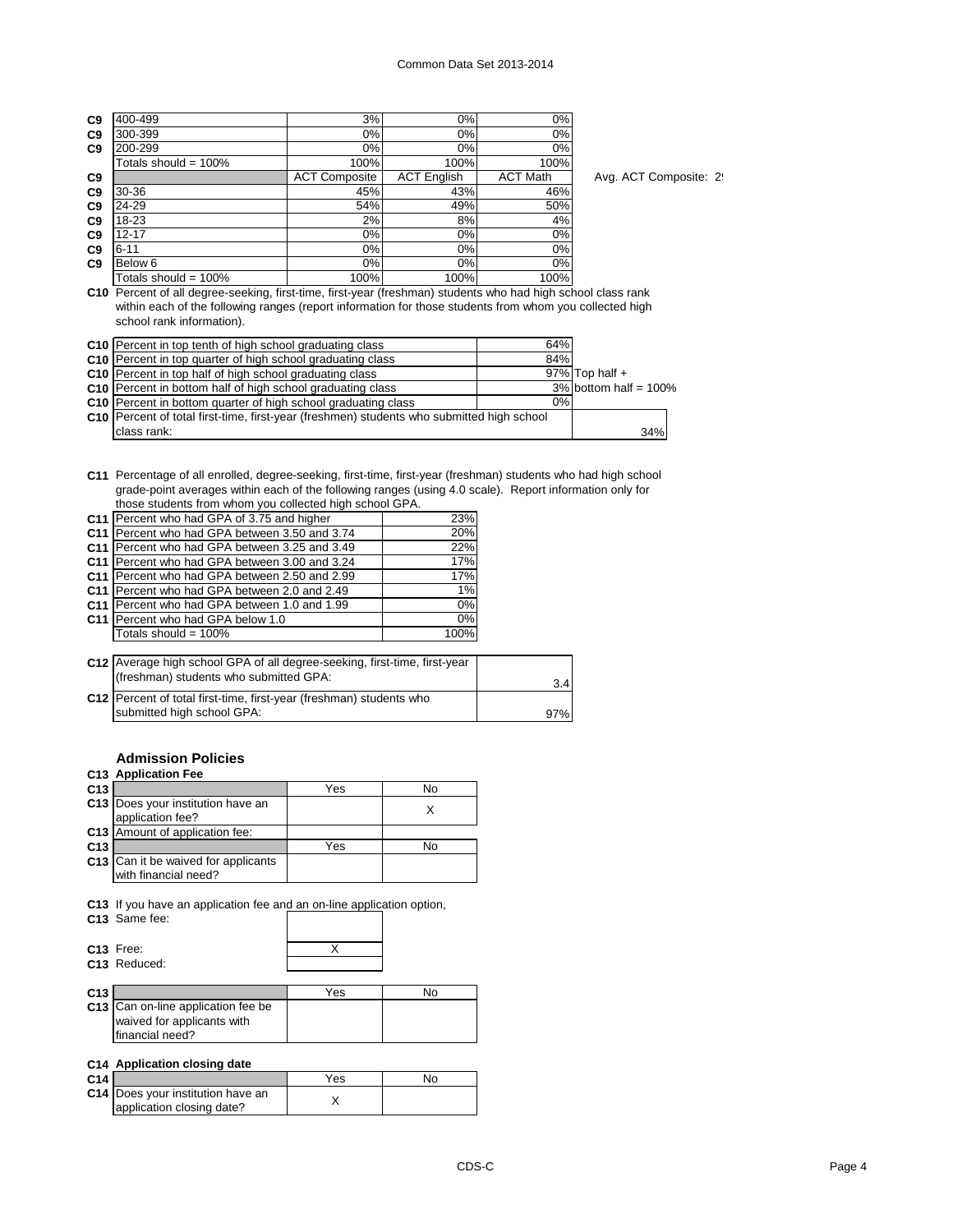| 400-499                 | 3%                   | 0%                 | 0%              |
|-------------------------|----------------------|--------------------|-----------------|
| 300-399                 | 0%                   | 0%                 | 0%              |
| 200-299                 | 0%                   | 0%                 | 0%              |
| Totals should = $100\%$ | 100%                 | 100%               | 100%            |
|                         | <b>ACT Composite</b> | <b>ACT English</b> | <b>ACT Math</b> |
| 30-36                   | 45%                  | 43%                | 46%             |
| 24-29                   | 54%                  | 49%                | 50%             |
| 18-23                   | 2%                   | 8%                 | 4%              |
| $12 - 17$               | $0\%$                | 0%                 | 0%              |
| $6 - 11$                | 0%                   | 0%                 | 0%              |
| Below <sub>6</sub>      | $0\%$                | 0%                 | 0%              |
| Totals should = $100\%$ | 100%                 | 100%               | 100%            |
|                         |                      |                    |                 |

Avg. ACT Composite: 29

**C10** Percent of all degree-seeking, first-time, first-year (freshman) students who had high school class rank within each of the following ranges (report information for those students from whom you collected high school rank information).

| C10 Percent in top tenth of high school graduating class                                    | 64% |                          |  |
|---------------------------------------------------------------------------------------------|-----|--------------------------|--|
| C <sub>10</sub> Percent in top quarter of high school graduating class                      | 84% |                          |  |
| C10 Percent in top half of high school graduating class                                     |     | $97\%$ Top half +        |  |
| C <sub>10</sub> Percent in bottom half of high school graduating class                      |     | $3\%$ bottom half = 100% |  |
| C10 Percent in bottom quarter of high school graduating class                               | 0%  |                          |  |
| C10   Percent of total first-time, first-year (freshmen) students who submitted high school |     |                          |  |
| class rank:                                                                                 |     | 34%                      |  |

**C11** Percentage of all enrolled, degree-seeking, first-time, first-year (freshman) students who had high school grade-point averages within each of the following ranges (using 4.0 scale). Report information only for those students from whom you collected high school GPA.

| C11 Percent who had GPA of 3.75 and higher    | 23%   |
|-----------------------------------------------|-------|
| C11 Percent who had GPA between 3.50 and 3.74 | 20%   |
| C11 Percent who had GPA between 3.25 and 3.49 | 22%   |
| C11 Percent who had GPA between 3.00 and 3.24 | 17%   |
| C11 Percent who had GPA between 2.50 and 2.99 | 17%   |
| C11 Percent who had GPA between 2.0 and 2.49  | $1\%$ |
| C11 Percent who had GPA between 1.0 and 1.99  | $0\%$ |
| C11 Percent who had GPA below 1.0             | $0\%$ |
| Totals should = $100\%$                       | 100%  |
|                                               |       |

| C12 Average high school GPA of all degree-seeking, first-time, first-year<br>(freshman) students who submitted GPA: | 3.4 |
|---------------------------------------------------------------------------------------------------------------------|-----|
| C12   Percent of total first-time, first-year (freshman) students who<br>submitted high school GPA:                 | 97% |

# **Admission Policies**

# **C13 Application Fee**

| C <sub>13</sub> |                                            | Yes | N٥ |
|-----------------|--------------------------------------------|-----|----|
|                 | C13 Does your institution have an          |     |    |
|                 | application fee?                           |     |    |
|                 | C13 Amount of application fee:             |     |    |
| C <sub>13</sub> |                                            | Yes | N٥ |
|                 | <b>C13</b> Can it be waived for applicants |     |    |
|                 | with financial need?                       |     |    |

**C13** If you have an application fee and an on-line application option,

**C13** Same fee:

| C13 Free:    |  |
|--------------|--|
| C13 Reduced: |  |
|              |  |

| C <sub>13</sub> |                                    | Yes | No |
|-----------------|------------------------------------|-----|----|
|                 | C13 Can on-line application fee be |     |    |
|                 | waived for applicants with         |     |    |
|                 | financial need?                    |     |    |

# **C14 Application closing date**

| C14 I |                                   | Yes | No |
|-------|-----------------------------------|-----|----|
|       | C14 Does your institution have an |     |    |
|       | application closing date?         |     |    |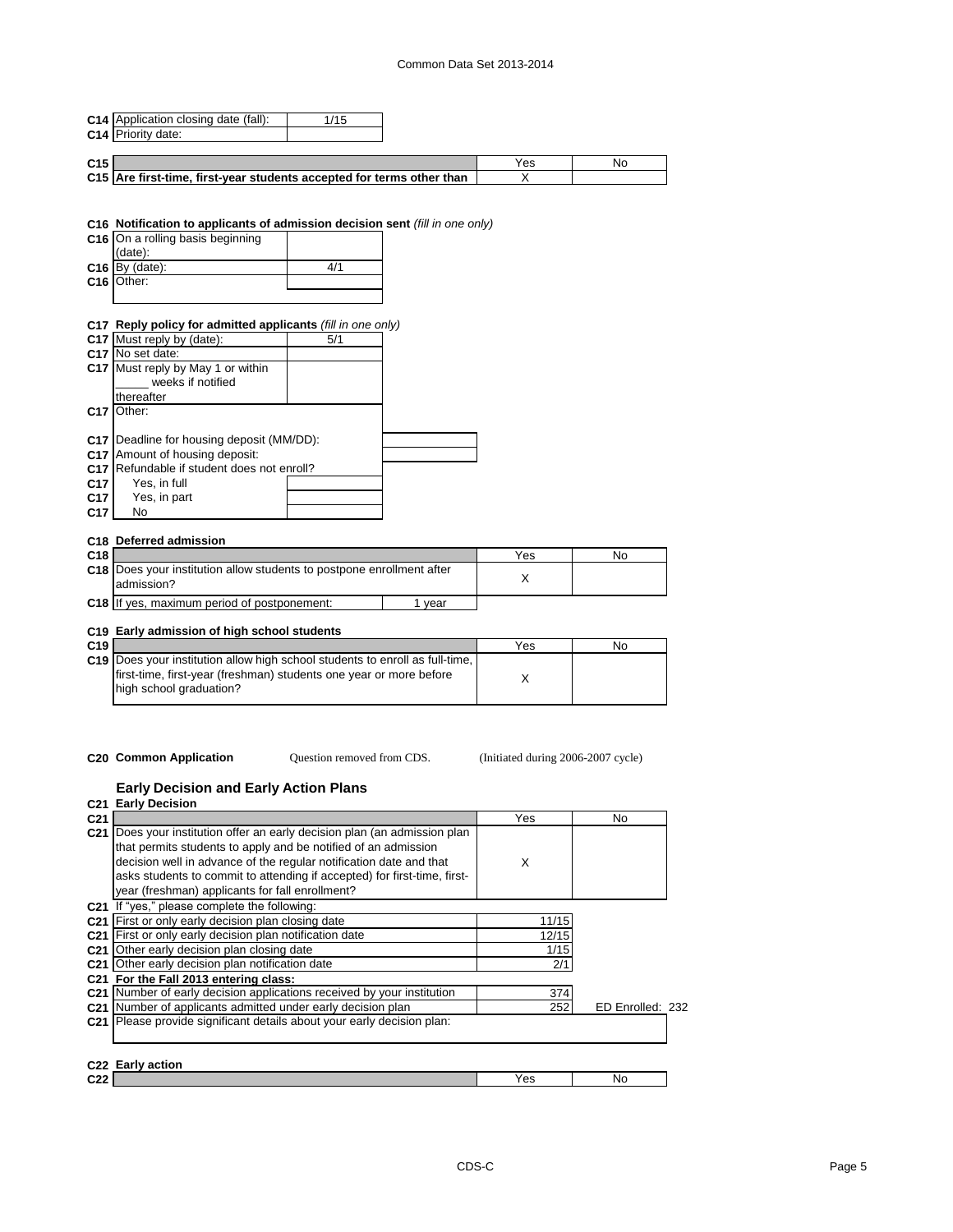# Common Data Set 2013-2014

| C14 Priority date:<br>C <sub>15</sub><br>Yes<br>No<br>C15 Are first-time, first-year students accepted for terms other than<br>X<br>C16 Notification to applicants of admission decision sent (fill in one only)<br>C16 On a rolling basis beginning<br>(date):<br>$C16$ By (date):<br>4/1<br>C16 Other:<br>C17 Reply policy for admitted applicants (fill in one only)<br>C17 Must reply by (date):<br>5/1<br>C <sub>17</sub> No set date:<br>C17 Must reply by May 1 or within<br>weeks if notified<br>thereafter<br>C <sub>17</sub> Other:<br>C17 Deadline for housing deposit (MM/DD):<br>C17 Amount of housing deposit:<br>C17 Refundable if student does not enroll?<br>Yes, in full<br>C <sub>17</sub><br>Yes, in part<br>C <sub>17</sub><br>C <sub>17</sub><br>No<br>C18 Deferred admission<br>C18<br>Yes<br><b>No</b><br>C18 Does your institution allow students to postpone enrollment after<br>X<br>admission?<br>C18 If yes, maximum period of postponement:<br>1 year | C14 Application closing date (fall): | 1/15 |  |  |
|-------------------------------------------------------------------------------------------------------------------------------------------------------------------------------------------------------------------------------------------------------------------------------------------------------------------------------------------------------------------------------------------------------------------------------------------------------------------------------------------------------------------------------------------------------------------------------------------------------------------------------------------------------------------------------------------------------------------------------------------------------------------------------------------------------------------------------------------------------------------------------------------------------------------------------------------------------------------------------------|--------------------------------------|------|--|--|
|                                                                                                                                                                                                                                                                                                                                                                                                                                                                                                                                                                                                                                                                                                                                                                                                                                                                                                                                                                                     |                                      |      |  |  |
|                                                                                                                                                                                                                                                                                                                                                                                                                                                                                                                                                                                                                                                                                                                                                                                                                                                                                                                                                                                     |                                      |      |  |  |
|                                                                                                                                                                                                                                                                                                                                                                                                                                                                                                                                                                                                                                                                                                                                                                                                                                                                                                                                                                                     |                                      |      |  |  |
|                                                                                                                                                                                                                                                                                                                                                                                                                                                                                                                                                                                                                                                                                                                                                                                                                                                                                                                                                                                     |                                      |      |  |  |
|                                                                                                                                                                                                                                                                                                                                                                                                                                                                                                                                                                                                                                                                                                                                                                                                                                                                                                                                                                                     |                                      |      |  |  |
|                                                                                                                                                                                                                                                                                                                                                                                                                                                                                                                                                                                                                                                                                                                                                                                                                                                                                                                                                                                     |                                      |      |  |  |
|                                                                                                                                                                                                                                                                                                                                                                                                                                                                                                                                                                                                                                                                                                                                                                                                                                                                                                                                                                                     |                                      |      |  |  |
|                                                                                                                                                                                                                                                                                                                                                                                                                                                                                                                                                                                                                                                                                                                                                                                                                                                                                                                                                                                     |                                      |      |  |  |
|                                                                                                                                                                                                                                                                                                                                                                                                                                                                                                                                                                                                                                                                                                                                                                                                                                                                                                                                                                                     |                                      |      |  |  |
|                                                                                                                                                                                                                                                                                                                                                                                                                                                                                                                                                                                                                                                                                                                                                                                                                                                                                                                                                                                     |                                      |      |  |  |
|                                                                                                                                                                                                                                                                                                                                                                                                                                                                                                                                                                                                                                                                                                                                                                                                                                                                                                                                                                                     |                                      |      |  |  |
|                                                                                                                                                                                                                                                                                                                                                                                                                                                                                                                                                                                                                                                                                                                                                                                                                                                                                                                                                                                     |                                      |      |  |  |
|                                                                                                                                                                                                                                                                                                                                                                                                                                                                                                                                                                                                                                                                                                                                                                                                                                                                                                                                                                                     |                                      |      |  |  |
|                                                                                                                                                                                                                                                                                                                                                                                                                                                                                                                                                                                                                                                                                                                                                                                                                                                                                                                                                                                     |                                      |      |  |  |
|                                                                                                                                                                                                                                                                                                                                                                                                                                                                                                                                                                                                                                                                                                                                                                                                                                                                                                                                                                                     |                                      |      |  |  |
|                                                                                                                                                                                                                                                                                                                                                                                                                                                                                                                                                                                                                                                                                                                                                                                                                                                                                                                                                                                     |                                      |      |  |  |
|                                                                                                                                                                                                                                                                                                                                                                                                                                                                                                                                                                                                                                                                                                                                                                                                                                                                                                                                                                                     |                                      |      |  |  |
|                                                                                                                                                                                                                                                                                                                                                                                                                                                                                                                                                                                                                                                                                                                                                                                                                                                                                                                                                                                     |                                      |      |  |  |
|                                                                                                                                                                                                                                                                                                                                                                                                                                                                                                                                                                                                                                                                                                                                                                                                                                                                                                                                                                                     |                                      |      |  |  |
|                                                                                                                                                                                                                                                                                                                                                                                                                                                                                                                                                                                                                                                                                                                                                                                                                                                                                                                                                                                     |                                      |      |  |  |
|                                                                                                                                                                                                                                                                                                                                                                                                                                                                                                                                                                                                                                                                                                                                                                                                                                                                                                                                                                                     |                                      |      |  |  |
|                                                                                                                                                                                                                                                                                                                                                                                                                                                                                                                                                                                                                                                                                                                                                                                                                                                                                                                                                                                     |                                      |      |  |  |
|                                                                                                                                                                                                                                                                                                                                                                                                                                                                                                                                                                                                                                                                                                                                                                                                                                                                                                                                                                                     |                                      |      |  |  |
|                                                                                                                                                                                                                                                                                                                                                                                                                                                                                                                                                                                                                                                                                                                                                                                                                                                                                                                                                                                     |                                      |      |  |  |
|                                                                                                                                                                                                                                                                                                                                                                                                                                                                                                                                                                                                                                                                                                                                                                                                                                                                                                                                                                                     |                                      |      |  |  |
|                                                                                                                                                                                                                                                                                                                                                                                                                                                                                                                                                                                                                                                                                                                                                                                                                                                                                                                                                                                     |                                      |      |  |  |
|                                                                                                                                                                                                                                                                                                                                                                                                                                                                                                                                                                                                                                                                                                                                                                                                                                                                                                                                                                                     |                                      |      |  |  |
|                                                                                                                                                                                                                                                                                                                                                                                                                                                                                                                                                                                                                                                                                                                                                                                                                                                                                                                                                                                     |                                      |      |  |  |
|                                                                                                                                                                                                                                                                                                                                                                                                                                                                                                                                                                                                                                                                                                                                                                                                                                                                                                                                                                                     |                                      |      |  |  |
|                                                                                                                                                                                                                                                                                                                                                                                                                                                                                                                                                                                                                                                                                                                                                                                                                                                                                                                                                                                     |                                      |      |  |  |
|                                                                                                                                                                                                                                                                                                                                                                                                                                                                                                                                                                                                                                                                                                                                                                                                                                                                                                                                                                                     |                                      |      |  |  |
|                                                                                                                                                                                                                                                                                                                                                                                                                                                                                                                                                                                                                                                                                                                                                                                                                                                                                                                                                                                     |                                      |      |  |  |
| C19 Early admission of high school students                                                                                                                                                                                                                                                                                                                                                                                                                                                                                                                                                                                                                                                                                                                                                                                                                                                                                                                                         |                                      |      |  |  |
| C <sub>19</sub><br>Yes<br>No                                                                                                                                                                                                                                                                                                                                                                                                                                                                                                                                                                                                                                                                                                                                                                                                                                                                                                                                                        |                                      |      |  |  |
| C19 Does your institution allow high school students to enroll as full-time,                                                                                                                                                                                                                                                                                                                                                                                                                                                                                                                                                                                                                                                                                                                                                                                                                                                                                                        |                                      |      |  |  |
| first-time, first-year (freshman) students one year or more before                                                                                                                                                                                                                                                                                                                                                                                                                                                                                                                                                                                                                                                                                                                                                                                                                                                                                                                  |                                      |      |  |  |
| X                                                                                                                                                                                                                                                                                                                                                                                                                                                                                                                                                                                                                                                                                                                                                                                                                                                                                                                                                                                   | high school graduation?              |      |  |  |

Question removed from CDS.

**C20 Common Application Question removed from CDS.** (Initiated during 2006-2007 cycle)

#### **Early Decision and Early Action Plans**

|                 | C21 Early Decision                                                                                                                                                                                                                                                                                                                           |       |                  |
|-----------------|----------------------------------------------------------------------------------------------------------------------------------------------------------------------------------------------------------------------------------------------------------------------------------------------------------------------------------------------|-------|------------------|
| C <sub>21</sub> |                                                                                                                                                                                                                                                                                                                                              | Yes   | No               |
| C <sub>21</sub> | Does your institution offer an early decision plan (an admission plan<br>that permits students to apply and be notified of an admission<br>decision well in advance of the regular notification date and that<br>asks students to commit to attending if accepted) for first-time, first-<br>year (freshman) applicants for fall enrollment? | X     |                  |
|                 | C21 If "yes," please complete the following:                                                                                                                                                                                                                                                                                                 |       |                  |
|                 | C <sub>21</sub> First or only early decision plan closing date                                                                                                                                                                                                                                                                               | 11/15 |                  |
|                 | C21 First or only early decision plan notification date                                                                                                                                                                                                                                                                                      | 12/15 |                  |
|                 | C <sub>21</sub> Other early decision plan closing date                                                                                                                                                                                                                                                                                       | 1/15  |                  |
|                 | C <sub>21</sub> Other early decision plan notification date                                                                                                                                                                                                                                                                                  | 2/1   |                  |
|                 | C21 For the Fall 2013 entering class:                                                                                                                                                                                                                                                                                                        |       |                  |
|                 | C21 Number of early decision applications received by your institution                                                                                                                                                                                                                                                                       | 374   |                  |
|                 | C21 Number of applicants admitted under early decision plan                                                                                                                                                                                                                                                                                  | 252   | ED Enrolled: 232 |
|                 | C21 Please provide significant details about your early decision plan:<br>C22 Early action                                                                                                                                                                                                                                                   |       |                  |
| C22             |                                                                                                                                                                                                                                                                                                                                              | Yes   | No               |